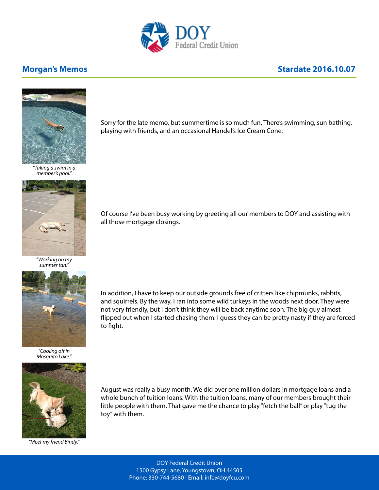

## **Morgan's Memos Morgan's Memos Stardate 2016.10.07**



*"Taking a swim in a member's pool."*



*"Working on my summer tan."*



*"Cooling off in Mosquito Lake."*



Sorry for the late memo, but summertime is so much fun. There's swimming, sun bathing,

Of course I've been busy working by greeting all our members to DOY and assisting with all those mortgage closings.

In addition, I have to keep our outside grounds free of critters like chipmunks, rabbits, and squirrels. By the way, I ran into some wild turkeys in the woods next door. They were not very friendly, but I don't think they will be back anytime soon. The big guy almost flipped out when I started chasing them. I guess they can be pretty nasty if they are forced to fight.



*"Meet my friend Bindy."*

August was really a busy month. We did over one million dollars in mortgage loans and a whole bunch of tuition loans. With the tuition loans, many of our members brought their little people with them. That gave me the chance to play "fetch the ball" or play "tug the toy" with them.